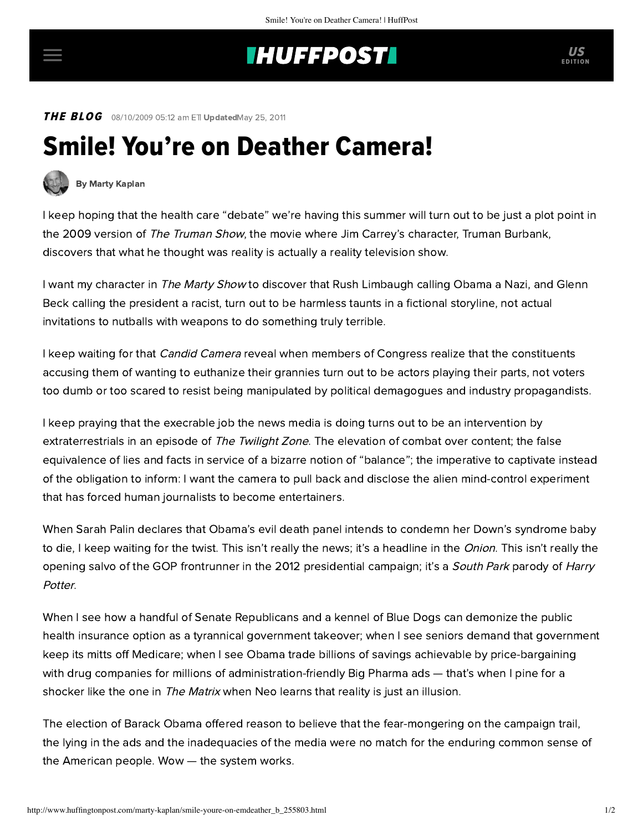## **THUFFPOSTI** US

**THE BLOG** 08/10/2009 05:12 am ETI UpdatedMay 25, 2011

## Smile! You're on Deather Camera!



[By Marty Kaplan](http://www.huffingtonpost.com/author/marty-kaplan)

I keep hoping that the health care "debate" we're having this summer will turn out to be just a plot point in the 2009 version of The Truman Show, the movie where Jim Carrey's character, Truman Burbank, discovers that what he thought was reality is actually a reality television show.

I want my character in The Marty Show to discover that Rush Limbaugh calling Obama a Nazi, and Glenn Beck calling the president a racist, turn out to be harmless taunts in a fictional storyline, not actual invitations to nutballs with weapons to do something truly terrible.

I keep waiting for that Candid Camera reveal when members of Congress realize that the constituents accusing them of wanting to euthanize their grannies turn out to be actors playing their parts, not voters too dumb or too scared to resist being manipulated by political demagogues and industry propagandists.

I keep praying that the execrable job the news media is doing turns out to be an intervention by extraterrestrials in an episode of The Twilight Zone. The elevation of combat over content; the false equivalence of lies and facts in service of a bizarre notion of "balance"; the imperative to captivate instead of the obligation to inform: I want the camera to pull back and disclose the alien mind-control experiment that has forced human journalists to become entertainers.

When Sarah Palin declares that Obama's evil death panel intends to condemn her Down's syndrome baby to die, I keep waiting for the twist. This isn't really the news; it's a headline in the *Onion*. This isn't really the opening salvo of the GOP frontrunner in the 2012 presidential campaign; it's a South Park parody of Harry Potter.

When I see how a handful of Senate Republicans and a kennel of Blue Dogs can demonize the public health insurance option as a tyrannical government takeover; when I see seniors demand that government keep its mitts off Medicare; when I see Obama trade billions of savings achievable by price-bargaining with drug companies for millions of administration-friendly Big Pharma ads — that's when I pine for a shocker like the one in The Matrix when Neo learns that reality is just an illusion.

The election of Barack Obama offered reason to believe that the fear-mongering on the campaign trail, the lying in the ads and the inadequacies of the media were no match for the enduring common sense of the American people. Wow — the system works.